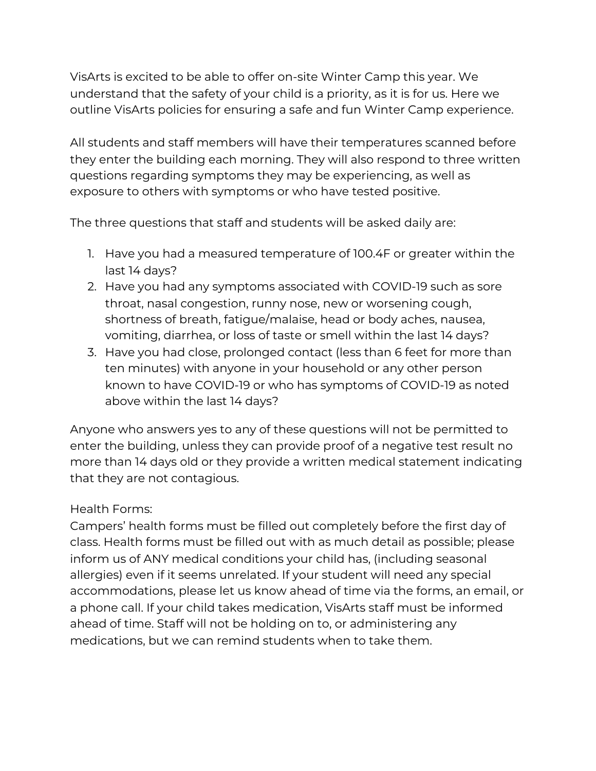VisArts is excited to be able to offer on-site Winter Camp this year. We understand that the safety of your child is a priority, as it is for us. Here we outline VisArts policies for ensuring a safe and fun Winter Camp experience.

All students and staff members will have their temperatures scanned before they enter the building each morning. They will also respond to three written questions regarding symptoms they may be experiencing, as well as exposure to others with symptoms or who have tested positive.

The three questions that staff and students will be asked daily are:

- 1. Have you had a measured temperature of 100.4F or greater within the last 14 days?
- 2. Have you had any symptoms associated with COVID-19 such as sore throat, nasal congestion, runny nose, new or worsening cough, shortness of breath, fatigue/malaise, head or body aches, nausea, vomiting, diarrhea, or loss of taste or smell within the last 14 days?
- 3. Have you had close, prolonged contact (less than 6 feet for more than ten minutes) with anyone in your household or any other person known to have COVID-19 or who has symptoms of COVID-19 as noted above within the last 14 days?

Anyone who answers yes to any of these questions will not be permitted to enter the building, unless they can provide proof of a negative test result no more than 14 days old or they provide a written medical statement indicating that they are not contagious.

## Health Forms:

Campers' health forms must be filled out completely before the first day of class. Health forms must be filled out with as much detail as possible; please inform us of ANY medical conditions your child has, (including seasonal allergies) even if it seems unrelated. If your student will need any special accommodations, please let us know ahead of time via the forms, an email, or a phone call. If your child takes medication, VisArts staff must be informed ahead of time. Staff will not be holding on to, or administering any medications, but we can remind students when to take them.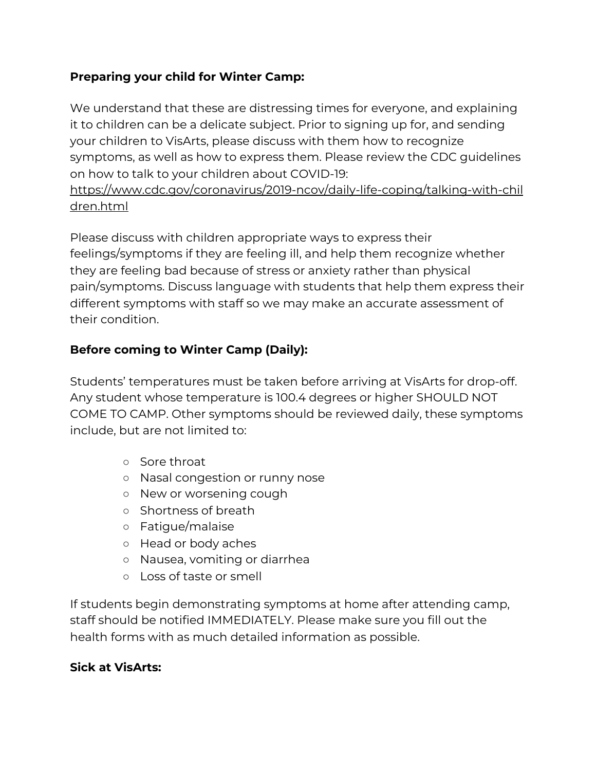## **Preparing your child for Winter Camp:**

We understand that these are distressing times for everyone, and explaining it to children can be a delicate subject. Prior to signing up for, and sending your children to VisArts, please discuss with them how to recognize symptoms, as well as how to express them. Please review the CDC guidelines on how to talk to your children about COVID-19: [https://www.cdc.gov/coronavirus/2019-ncov/daily-life-coping/talking-with-chil](https://www.cdc.gov/coronavirus/2019-ncov/daily-life-coping/talking-with-children.html)

[dren.html](https://www.cdc.gov/coronavirus/2019-ncov/daily-life-coping/talking-with-children.html)

Please discuss with children appropriate ways to express their feelings/symptoms if they are feeling ill, and help them recognize whether they are feeling bad because of stress or anxiety rather than physical pain/symptoms. Discuss language with students that help them express their different symptoms with staff so we may make an accurate assessment of their condition.

# **Before coming to Winter Camp (Daily):**

Students' temperatures must be taken before arriving at VisArts for drop-off. Any student whose temperature is 100.4 degrees or higher SHOULD NOT COME TO CAMP. Other symptoms should be reviewed daily, these symptoms include, but are not limited to:

- Sore throat
- Nasal congestion or runny nose
- New or worsening cough
- Shortness of breath
- Fatigue/malaise
- Head or body aches
- Nausea, vomiting or diarrhea
- Loss of taste or smell

If students begin demonstrating symptoms at home after attending camp, staff should be notified IMMEDIATELY. Please make sure you fill out the health forms with as much detailed information as possible.

## **Sick at VisArts:**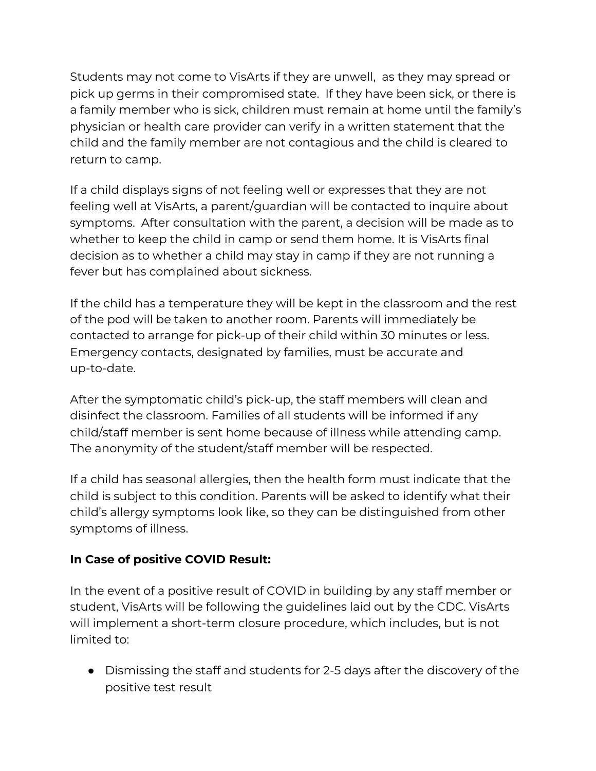Students may not come to VisArts if they are unwell, as they may spread or pick up germs in their compromised state. If they have been sick, or there is a family member who is sick, children must remain at home until the family's physician or health care provider can verify in a written statement that the child and the family member are not contagious and the child is cleared to return to camp.

If a child displays signs of not feeling well or expresses that they are not feeling well at VisArts, a parent/guardian will be contacted to inquire about symptoms. After consultation with the parent, a decision will be made as to whether to keep the child in camp or send them home. It is VisArts final decision as to whether a child may stay in camp if they are not running a fever but has complained about sickness.

If the child has a temperature they will be kept in the classroom and the rest of the pod will be taken to another room. Parents will immediately be contacted to arrange for pick-up of their child within 30 minutes or less. Emergency contacts, designated by families, must be accurate and up-to-date.

After the symptomatic child's pick-up, the staff members will clean and disinfect the classroom. Families of all students will be informed if any child/staff member is sent home because of illness while attending camp. The anonymity of the student/staff member will be respected.

If a child has seasonal allergies, then the health form must indicate that the child is subject to this condition. Parents will be asked to identify what their child's allergy symptoms look like, so they can be distinguished from other symptoms of illness.

#### **In Case of positive COVID Result:**

In the event of a positive result of COVID in building by any staff member or student, VisArts will be following the guidelines laid out by the CDC. VisArts will implement a short-term closure procedure, which includes, but is not limited to:

● Dismissing the staff and students for 2-5 days after the discovery of the positive test result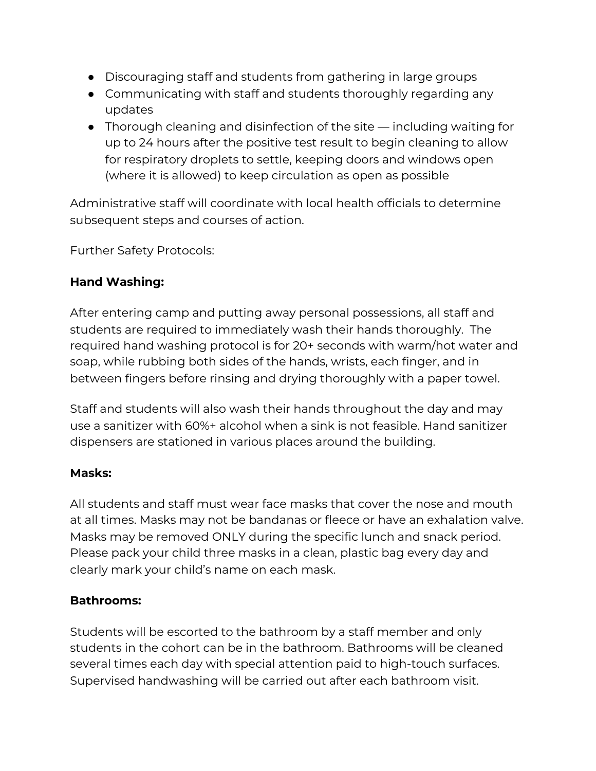- Discouraging staff and students from gathering in large groups
- Communicating with staff and students thoroughly regarding any updates
- $\bullet$  Thorough cleaning and disinfection of the site including waiting for up to 24 hours after the positive test result to begin cleaning to allow for respiratory droplets to settle, keeping doors and windows open (where it is allowed) to keep circulation as open as possible

Administrative staff will coordinate with local health officials to determine subsequent steps and courses of action.

Further Safety Protocols:

### **Hand Washing:**

After entering camp and putting away personal possessions, all staff and students are required to immediately wash their hands thoroughly. The required hand washing protocol is for 20+ seconds with warm/hot water and soap, while rubbing both sides of the hands, wrists, each finger, and in between fingers before rinsing and drying thoroughly with a paper towel.

Staff and students will also wash their hands throughout the day and may use a sanitizer with 60%+ alcohol when a sink is not feasible. Hand sanitizer dispensers are stationed in various places around the building.

#### **Masks:**

All students and staff must wear face masks that cover the nose and mouth at all times. Masks may not be bandanas or fleece or have an exhalation valve. Masks may be removed ONLY during the specific lunch and snack period. Please pack your child three masks in a clean, plastic bag every day and clearly mark your child's name on each mask.

#### **Bathrooms:**

Students will be escorted to the bathroom by a staff member and only students in the cohort can be in the bathroom. Bathrooms will be cleaned several times each day with special attention paid to high-touch surfaces. Supervised handwashing will be carried out after each bathroom visit.